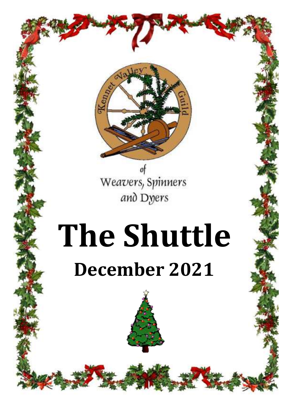

of Weavers, Spinners and Dyers

# **The Shuttle September 2020 December 2021**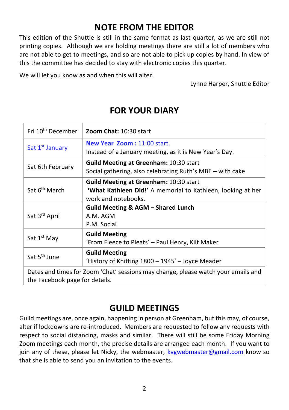# **NOTE FROM THE EDITOR**

This edition of the Shuttle is still in the same format as last quarter, as we are still not printing copies. Although we are holding meetings there are still a lot of members who are not able to get to meetings, and so are not able to pick up copies by hand. In view of this the committee has decided to stay with electronic copies this quarter.

We will let you know as and when this will alter.

Lynne Harper, Shuttle Editor

| Fri 10 <sup>th</sup> December                                                                                       | Zoom Chat: 10:30 start                                                                                                                     |
|---------------------------------------------------------------------------------------------------------------------|--------------------------------------------------------------------------------------------------------------------------------------------|
| Sat 1 <sup>st</sup> January                                                                                         | <b>New Year Zoom: 11:00 start.</b><br>Instead of a January meeting, as it is New Year's Day.                                               |
| Sat 6th February                                                                                                    | <b>Guild Meeting at Greenham: 10:30 start</b><br>Social gathering, also celebrating Ruth's MBE – with cake                                 |
| Sat 6 <sup>th</sup> March                                                                                           | <b>Guild Meeting at Greenham: 10:30 start</b><br><b>'What Kathleen Did!'</b> A memorial to Kathleen, looking at her<br>work and notebooks. |
| Sat 3 <sup>rd</sup> April                                                                                           | Guild Meeting & AGM – Shared Lunch<br>A.M. AGM<br>P.M. Social                                                                              |
| Sat 1 <sup>st</sup> May                                                                                             | <b>Guild Meeting</b><br>'From Fleece to Pleats' - Paul Henry, Kilt Maker                                                                   |
| Sat 5 <sup>th</sup> June                                                                                            | <b>Guild Meeting</b><br>'History of Knitting 1800 - 1945' - Joyce Meader                                                                   |
| Dates and times for Zoom 'Chat' sessions may change, please watch your emails and<br>the Facebook page for details. |                                                                                                                                            |

## **FOR YOUR DIARY**

## **GUILD MEETINGS**

Guild meetings are, once again, happening in person at Greenham, but this may, of course, alter if lockdowns are re-introduced. Members are requested to follow any requests with respect to social distancing, masks and similar. There will still be some Friday Morning Zoom meetings each month, the precise details are arranged each month. If you want to join any of these, please let Nicky, the webmaster, [kvgwebmaster@gmail.com](mailto:kvgwebmaster@gmail.com) know so that she is able to send you an invitation to the events.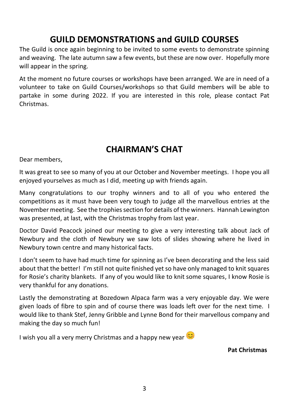# **GUILD DEMONSTRATIONS and GUILD COURSES**

The Guild is once again beginning to be invited to some events to demonstrate spinning and weaving. The late autumn saw a few events, but these are now over. Hopefully more will appear in the spring.

At the moment no future courses or workshops have been arranged. We are in need of a volunteer to take on Guild Courses/workshops so that Guild members will be able to partake in some during 2022. If you are interested in this role, please contact Pat Christmas.

# **CHAIRMAN'S CHAT**

Dear members,

It was great to see so many of you at our October and November meetings. I hope you all enjoyed yourselves as much as I did, meeting up with friends again.

Many congratulations to our trophy winners and to all of you who entered the competitions as it must have been very tough to judge all the marvellous entries at the November meeting. See the trophies section for details of the winners. Hannah Lewington was presented, at last, with the Christmas trophy from last year.

Doctor David Peacock joined our meeting to give a very interesting talk about Jack of Newbury and the cloth of Newbury we saw lots of slides showing where he lived in Newbury town centre and many historical facts.

I don't seem to have had much time for spinning as I've been decorating and the less said about that the better! I'm still not quite finished yet so have only managed to knit squares for Rosie's charity blankets. If any of you would like to knit some squares, I know Rosie is very thankful for any donations.

Lastly the demonstrating at Bozedown Alpaca farm was a very enjoyable day. We were given loads of fibre to spin and of course there was loads left over for the next time. I would like to thank Stef, Jenny Gribble and Lynne Bond for their marvellous company and making the day so much fun!

I wish you all a very merry Christmas and a happy new year

**Pat Christmas**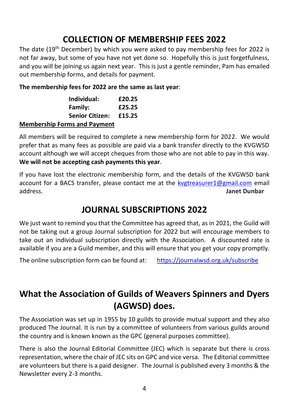# **COLLECTION OF MEMBERSHIP FEES 2022**

The date (19<sup>th</sup> December) by which you were asked to pay membership fees for 2022 is not far away, but some of you have not yet done so. Hopefully this is just forgetfulness, and you will be joining us again next year. This is just a gentle reminder, Pam has emailed out membership forms, and details for payment.

**The membership fees for 2022 are the same as last year**:

| Individual:            | £20.25 |
|------------------------|--------|
| Family:                | £25.25 |
| <b>Senior Citizen:</b> | £15.25 |

#### **Membership Forms and Payment**

All members will be required to complete a new membership form for 2022. We would prefer that as many fees as possible are paid via a bank transfer directly to the KVGWSD account although we will accept cheques from those who are not able to pay in this way. **We will not be accepting cash payments this year**.

If you have lost the electronic membership form, and the details of the KVGWSD bank account for a BACS transfer, please contact me at the [kvgtreasurer1@gmail.com](mailto:kvgtreasurer1@gmail.com) email address. **Janet Dunbar**

## **JOURNAL SUBSCRIPTIONS 2022**

We just want to remind you that the Committee has agreed that, as in 2021, the Guild will not be taking out a group Journal subscription for 2022 but will encourage members to take out an individual subscription directly with the Association. A discounted rate is available if you are a Guild member, and this will ensure that you get your copy promptly.

The online subscription form can be found at: <https://journalwsd.org.uk/subscribe>

# **What the Association of Guilds of Weavers Spinners and Dyers (AGWSD) does.**

The Association was set up in 1955 by 10 guilds to provide mutual support and they also produced The Journal. It is run by a committee of volunteers from various guilds around the country and is known known as the GPC (general purposes committee).

There is also the Journal Editorial Committee (JEC) which is separate but there is cross representation, where the chair of JEC sits on GPC and vice versa. The Editorial committee are volunteers but there is a paid designer. The Journal is published every 3 months & the Newsletter every 2-3 months.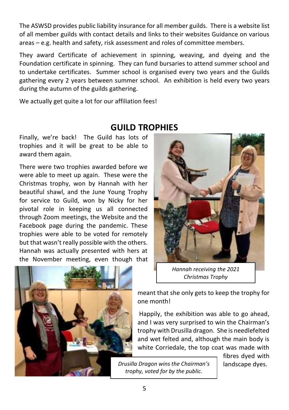The ASWSD provides public liability insurance for all member guilds. There is a website list of all member guilds with contact details and links to their websites Guidance on various areas – e.g. health and safety, risk assessment and roles of committee members.

They award Certificate of achievement in spinning, weaving, and dyeing and the Foundation certificate in spinning. They can fund bursaries to attend summer school and to undertake certificates. Summer school is organised every two years and the Guilds gathering every 2 years between summer school. An exhibition is held every two years during the autumn of the guilds gathering.

We actually get quite a lot for our affiliation fees!

## **GUILD TROPHIES**

Finally, we're back! The Guild has lots of trophies and it will be great to be able to award them again.

There were two trophies awarded before we were able to meet up again. These were the Christmas trophy, won by Hannah with her beautiful shawl, and the June Young Trophy for service to Guild, won by Nicky for her pivotal role in keeping us all connected through Zoom meetings, the Website and the Facebook page during the pandemic. These trophies were able to be voted for remotely but that wasn't really possible with the others. Hannah was actually presented with hers at the November meeting, even though that



*Hannah receiving the 2021 Christmas Trophy* 



meant that she only gets to keep the trophy for one month!

Happily, the exhibition was able to go ahead, and I was very surprised to win the Chairman's trophy with Drusilla dragon. She is needlefelted and wet felted and, although the main body is white Corriedale, the top coat was made with

> fibres dyed with landscape dyes.

*Drusilla Dragon wins the Chairman's trophy, voted for by the public.*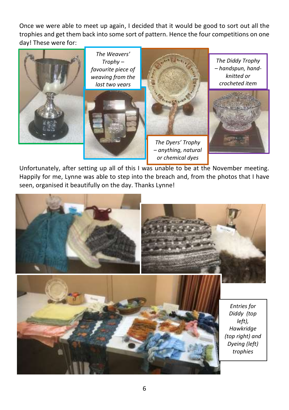Once we were able to meet up again, I decided that it would be good to sort out all the trophies and get them back into some sort of pattern. Hence the four competitions on one day! These were for:



Unfortunately, after setting up all of this I was unable to be at the November meeting. Happily for me, Lynne was able to step into the breach and, from the photos that I have seen, organised it beautifully on the day. Thanks Lynne!

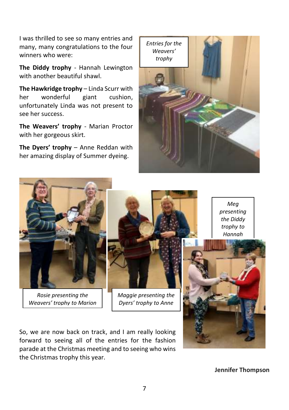I was thrilled to see so many entries and many, many congratulations to the four winners who were:

**The Diddy trophy** - Hannah Lewington with another beautiful shawl.

**The Hawkridge trophy** – Linda Scurr with her wonderful giant cushion, unfortunately Linda was not present to see her success.

**The Weavers' trophy** - Marian Proctor with her gorgeous skirt.

**The Dyers' trophy** – Anne Reddan with her amazing display of Summer dyeing.





*Rosie presenting the Weavers' trophy to Marion*



*Maggie presenting the Dyers' trophy to Anne*

So, we are now back on track, and I am really looking forward to seeing all of the entries for the fashion parade at the Christmas meeting and to seeing who wins the Christmas trophy this year.

*Meg presenting the Diddy trophy to Hannah*

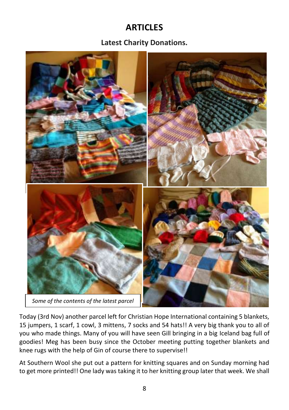# **ARTICLES**

#### **Latest Charity Donations.**



Today (3rd Nov) another parcel left for Christian Hope International containing 5 blankets, 15 jumpers, 1 scarf, 1 cowl, 3 mittens, 7 socks and 54 hats!! A very big thank you to all of you who made things. Many of you will have seen Gill bringing in a big Iceland bag full of goodies! Meg has been busy since the October meeting putting together blankets and knee rugs with the help of Gin of course there to supervise!!

At Southern Wool she put out a pattern for knitting squares and on Sunday morning had to get more printed!! One lady was taking it to her knitting group later that week. We shall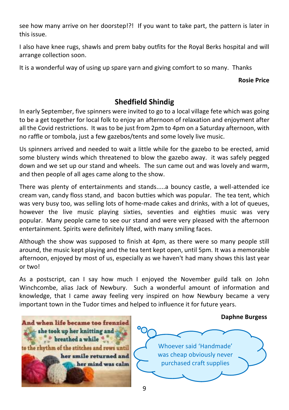see how many arrive on her doorstep!?! If you want to take part, the pattern is later in this issue.

I also have knee rugs, shawls and prem baby outfits for the Royal Berks hospital and will arrange collection soon.

It is a wonderful way of using up spare yarn and giving comfort to so many. Thanks

**Rosie Price**

### **Shedfield Shindig**

In early September, five spinners were invited to go to a local village fete which was going to be a get together for local folk to enjoy an afternoon of relaxation and enjoyment after all the Covid restrictions. It was to be just from 2pm to 4pm on a Saturday afternoon, with no raffle or tombola, just a few gazebos/tents and some lovely live music.

Us spinners arrived and needed to wait a little while for the gazebo to be erected, amid some blustery winds which threatened to blow the gazebo away. it was safely pegged down and we set up our stand and wheels. The sun came out and was lovely and warm, and then people of all ages came along to the show.

There was plenty of entertainments and stands.....a bouncy castle, a well-attended ice cream van, candy floss stand, and bacon butties which was popular. The tea tent, which was very busy too, was selling lots of home-made cakes and drinks, with a lot of queues, however the live music playing sixties, seventies and eighties music was very popular. Many people came to see our stand and were very pleased with the afternoon entertainment. Spirits were definitely lifted, with many smiling faces.

Although the show was supposed to finish at 4pm, as there were so many people still around, the music kept playing and the tea tent kept open, until 5pm. It was a memorable afternoon, enjoyed by most of us, especially as we haven't had many shows this last year or two!

As a postscript, can I say how much I enjoyed the November guild talk on John Winchcombe, alias Jack of Newbury. Such a wonderful amount of information and knowledge, that I came away feeling very inspired on how Newbury became a very important town in the Tudor times and helped to influence it for future years.

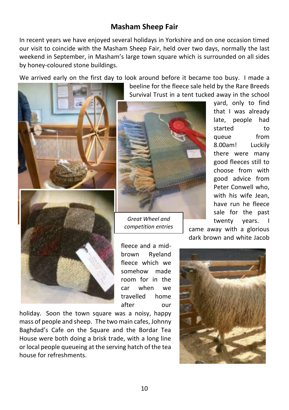#### **Masham Sheep Fair**

In recent years we have enjoyed several holidays in Yorkshire and on one occasion timed our visit to coincide with the Masham Sheep Fair, held over two days, normally the last weekend in September, in Masham's large town square which is surrounded on all sides by honey-coloured stone buildings.

We arrived early on the first day to look around before it became too busy. I made a



beeline for the fleece sale held by the Rare Breeds Survival Trust in a tent tucked away in the school



*Great Wheel and competition entries*

fleece and a midbrown Ryeland fleece which we somehow made room for in the car when we travelled home after our

holiday. Soon the town square was a noisy, happy mass of people and sheep. The two main cafes, Johnny Baghdad's Cafe on the Square and the Bordar Tea House were both doing a brisk trade, with a long line or local people queueing at the serving hatch of the tea house for refreshments.

yard, only to find that I was already late, people had started to queue from 8.00am! Luckily there were many good fleeces still to choose from with good advice from Peter Conwell who, with his wife Jean, have run he fleece sale for the past twenty years. I

came away with a glorious dark brown and white Jacob

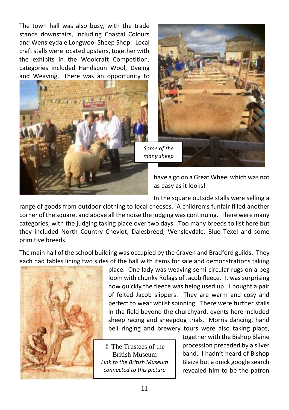The town hall was also busy, with the trade stands downstairs, including Coastal Colours and Wensleydale Longwool Sheep Shop. Local craft stalls were located upstairs, together with the exhibits in the Woolcraft Competition, categories included Handspun Wool, Dyeing and Weaving. There was an opportunity to





have a go on a Great Wheel which was not as easy as it looks!

In the square outside stalls were selling a range of goods from outdoor clothing to local cheeses. A children's funfair filled another corner of the square, and above all the noise the judging was continuing. There were many categories, with the judging taking place over two days. Too many breeds to list here but they included North Country Cheviot, Dalesbreed, Wensleydale, Blue Texel and some primitive breeds.

The main hall of the school building was occupied by the Craven and Bradford guilds. They each had tables lining two sides of the hall with items for sale and demonstrations taking



place. One lady was weaving semi-circular rugs on a peg loom with chunky Rolags of Jacob fleece. It was surprising how quickly the fleece was being used up. I bought a pair of felted Jacob slippers. They are warm and cosy and perfect to wear whilst spinning. There were further stalls in the field beyond the churchyard, events here included sheep racing and sheepdog trials. Morris dancing, hand bell ringing and brewery tours were also taking place,

© The Trustees of the British Museum *[Li](https://www.britishmuseum.org/collection/term/BIOG79003)nk to the British Museum connected to this picture*

together with the Bishop Blaine procession preceded by a silver band. I hadn't heard of Bishop Blaize but a quick google search revealed him to be the patron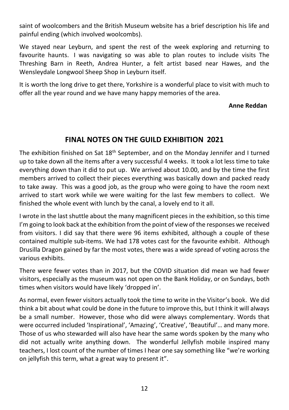saint of woolcombers and the British Museum website has a brief description his life and painful ending (which involved woolcombs).

We stayed near Leyburn, and spent the rest of the week exploring and returning to favourite haunts. I was navigating so was able to plan routes to include visits The Threshing Barn in Reeth, Andrea Hunter, a felt artist based near Hawes, and the Wensleydale Longwool Sheep Shop in Leyburn itself.

It is worth the long drive to get there, Yorkshire is a wonderful place to visit with much to offer all the year round and we have many happy memories of the area.

#### **Anne Reddan**

#### **FINAL NOTES ON THE GUILD EXHIBITION 2021**

The exhibition finished on Sat 18<sup>th</sup> September, and on the Monday Jennifer and I turned up to take down all the items after a very successful 4 weeks. It took a lot less time to take everything down than it did to put up. We arrived about 10.00, and by the time the first members arrived to collect their pieces everything was basically down and packed ready to take away. This was a good job, as the group who were going to have the room next arrived to start work while we were waiting for the last few members to collect. We finished the whole event with lunch by the canal, a lovely end to it all.

I wrote in the last shuttle about the many magnificent pieces in the exhibition, so this time I'm going to look back at the exhibition from the point of view of the responses we received from visitors. I did say that there were 96 items exhibited, although a couple of these contained multiple sub-items. We had 178 votes cast for the favourite exhibit. Although Drusilla Dragon gained by far the most votes, there was a wide spread of voting across the various exhibits.

There were fewer votes than in 2017, but the COVID situation did mean we had fewer visitors, especially as the museum was not open on the Bank Holiday, or on Sundays, both times when visitors would have likely 'dropped in'.

As normal, even fewer visitors actually took the time to write in the Visitor's book. We did think a bit about what could be done in the future to improve this, but I think it will always be a small number. However, those who did were always complementary. Words that were occurred included 'Inspirational', 'Amazing', 'Creative', 'Beautiful'… and many more. Those of us who stewarded will also have hear the same words spoken by the many who did not actually write anything down. The wonderful Jellyfish mobile inspired many teachers, I lost count of the number of times I hear one say something like "we're working on jellyfish this term, what a great way to present it".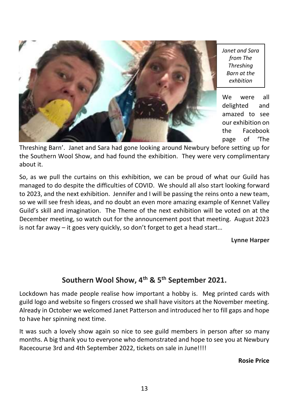

*Janet and Sara from The Threshing Barn at the exhbition*

We were all delighted and amazed to see our exhibition on the Facebook page of 'The

Threshing Barn'. Janet and Sara had gone looking around Newbury before setting up for the Southern Wool Show, and had found the exhibition. They were very complimentary about it.

So, as we pull the curtains on this exhibition, we can be proud of what our Guild has managed to do despite the difficulties of COVID. We should all also start looking forward to 2023, and the next exhibition. Jennifer and I will be passing the reins onto a new team, so we will see fresh ideas, and no doubt an even more amazing example of Kennet Valley Guild's skill and imagination. The Theme of the next exhibition will be voted on at the December meeting, so watch out for the announcement post that meeting. August 2023 is not far away – it goes very quickly, so don't forget to get a head start…

**Lynne Harper**

## **Southern Wool Show, 4th & 5th September 2021.**

Lockdown has made people realise how important a hobby is. Meg printed cards with guild logo and website so fingers crossed we shall have visitors at the November meeting. Already in October we welcomed Janet Patterson and introduced her to fill gaps and hope to have her spinning next time.

It was such a lovely show again so nice to see guild members in person after so many months. A big thank you to everyone who demonstrated and hope to see you at Newbury Racecourse 3rd and 4th September 2022, tickets on sale in June!!!!

**Rosie Price**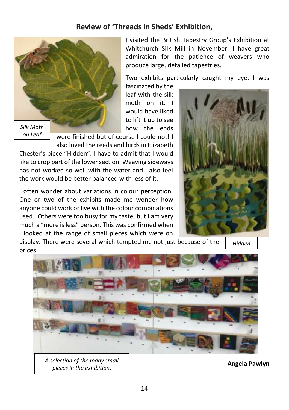#### **Review of 'Threads in Sheds' Exhibition,**



*on Leaf*

I visited the British Tapestry Group's Exhibition at Whitchurch Silk Mill in November. I have great admiration for the patience of weavers who produce large, detailed tapestries.

Two exhibits particularly caught my eye. I was

fascinated by the leaf with the silk moth on it. I would have liked to lift it up to see how the ends

were finished but of course I could not! I also loved the reeds and birds in Elizabeth

Chester's piece "Hidden". I have to admit that I would like to crop part of the lower section. Weaving sideways has not worked so well with the water and I also feel the work would be better balanced with less of it.

I often wonder about variations in colour perception. One or two of the exhibits made me wonder how anyone could work or live with the colour combinations used. Others were too busy for my taste, but I am very much a "more is less" person. This was confirmed when I looked at the range of small pieces which were on

display. There were several which tempted me not just because of the prices!



*Hidden* 



*A selection of the many small pieces in the exhibition.*

**Angela Pawlyn**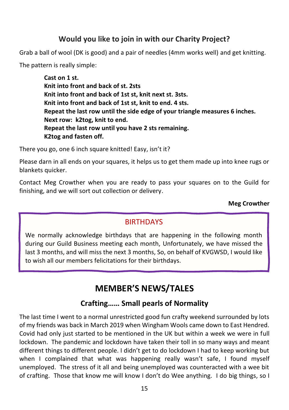#### **Would you like to join in with our Charity Project?**

Grab a ball of wool (DK is good) and a pair of needles (4mm works well) and get knitting.

The pattern is really simple:

**Cast on 1 st. Knit into front and back of st. 2sts Knit into front and back of 1st st, knit next st. 3sts. Knit into front and back of 1st st, knit to end. 4 sts. Repeat the last row until the side edge of your triangle measures 6 inches. Next row: k2tog, knit to end. Repeat the last row until you have 2 sts remaining. K2tog and fasten off.**

There you go, one 6 inch square knitted! Easy, isn't it?

Please darn in all ends on your squares, it helps us to get them made up into knee rugs or blankets quicker.

Contact Meg Crowther when you are ready to pass your squares on to the Guild for finishing, and we will sort out collection or delivery.

#### **Meg Crowther**

#### **BIRTHDAYS**

We normally acknowledge birthdays that are happening in the following month during our Guild Business meeting each month, Unfortunately, we have missed the last 3 months, and will miss the next 3 months, So, on behalf of KVGWSD, I would like to wish all our members felicitations for their birthdays.

# **MEMBER'S NEWS/TALES**

#### **Crafting…… Small pearls of Normality**

The last time I went to a normal unrestricted good fun crafty weekend surrounded by lots of my friends was back in March 2019 when Wingham Wools came down to East Hendred. Covid had only just started to be mentioned in the UK but within a week we were in full lockdown. The pandemic and lockdown have taken their toll in so many ways and meant different things to different people. I didn't get to do lockdown I had to keep working but when I complained that what was happening really wasn't safe, I found myself unemployed. The stress of it all and being unemployed was counteracted with a wee bit of crafting. Those that know me will know I don't do Wee anything. I do big things, so I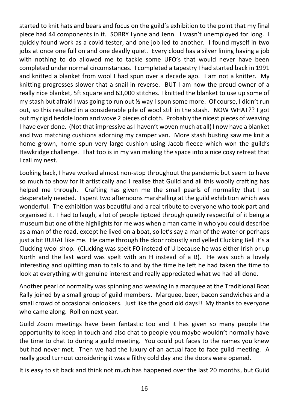started to knit hats and bears and focus on the guild's exhibition to the point that my final piece had 44 components in it. SORRY Lynne and Jenn. I wasn't unemployed for long. I quickly found work as a covid tester, and one job led to another. I found myself in two jobs at once one full on and one deadly quiet. Every cloud has a silver lining having a job with nothing to do allowed me to tackle some UFO's that would never have been completed under normal circumstances. I completed a tapestry I had started back in 1991 and knitted a blanket from wool I had spun over a decade ago. I am not a knitter. My knitting progresses slower that a snail in reverse. BUT I am now the proud owner of a really nice blanket, 5ft square and 63,000 stitches. I knitted the blanket to use up some of my stash but afraid I was going to run out ½ way I spun some more. Of course, I didn't run out, so this resulted in a considerable pile of wool still in the stash. NOW WHAT?? I got out my rigid heddle loom and wove 2 pieces of cloth. Probably the nicest pieces of weaving I have ever done. (Not that impressive as I haven't woven much at all) I now have a blanket and two matching cushions adorning my camper van. More stash busting saw me knit a home grown, home spun very large cushion using Jacob fleece which won the guild's Hawkridge challenge. That too is in my van making the space into a nice cosy retreat that I call my nest.

Looking back, I have worked almost non-stop throughout the pandemic but seem to have so much to show for it artistically and I realise that Guild and all this woolly crafting has helped me through. Crafting has given me the small pearls of normality that I so desperately needed. I spent two afternoons marshalling at the guild exhibition which was wonderful. The exhibition was beautiful and a real tribute to everyone who took part and organised it. I had to laugh, a lot of people tiptoed through quietly respectful of it being a museum but one of the highlights for me was when a man came in who you could describe as a man of the road, except he lived on a boat, so let's say a man of the water or perhaps just a bit RURAL like me. He came through the door robustly and yelled Clucking Bell it's a Clucking wool shop. (Clucking was spelt FO instead of U because he was either Irish or up North and the last word was spelt with an H instead of a B). He was such a lovely interesting and uplifting man to talk to and by the time he left he had taken the time to look at everything with genuine interest and really appreciated what we had all done.

Another pearl of normality was spinning and weaving in a marquee at the Traditional Boat Rally joined by a small group of guild members. Marquee, beer, bacon sandwiches and a small crowd of occasional onlookers. Just like the good old days!! My thanks to everyone who came along. Roll on next year.

Guild Zoom meetings have been fantastic too and it has given so many people the opportunity to keep in touch and also chat to people you maybe wouldn't normally have the time to chat to during a guild meeting. You could put faces to the names you knew but had never met. Then we had the luxury of an actual face to face guild meeting. A really good turnout considering it was a filthy cold day and the doors were opened.

It is easy to sit back and think not much has happened over the last 20 months, but Guild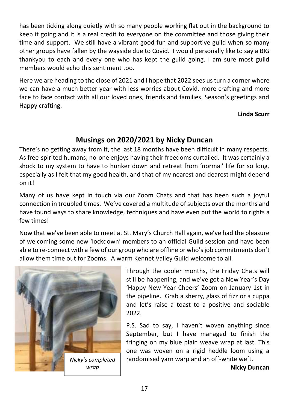has been ticking along quietly with so many people working flat out in the background to keep it going and it is a real credit to everyone on the committee and those giving their time and support. We still have a vibrant good fun and supportive guild when so many other groups have fallen by the wayside due to Covid. I would personally like to say a BIG thankyou to each and every one who has kept the guild going. I am sure most guild members would echo this sentiment too.

Here we are heading to the close of 2021 and I hope that 2022 sees us turn a corner where we can have a much better year with less worries about Covid, more crafting and more face to face contact with all our loved ones, friends and families. Season's greetings and Happy crafting.

#### **Linda Scurr**

#### **Musings on 2020/2021 by Nicky Duncan**

There's no getting away from it, the last 18 months have been difficult in many respects. As free-spirited humans, no-one enjoys having their freedoms curtailed. It was certainly a shock to my system to have to hunker down and retreat from 'normal' life for so long, especially as I felt that my good health, and that of my nearest and dearest might depend on it!

Many of us have kept in touch via our Zoom Chats and that has been such a joyful connection in troubled times. We've covered a multitude of subjects over the months and have found ways to share knowledge, techniques and have even put the world to rights a few times!

Now that we've been able to meet at St. Mary's Church Hall again, we've had the pleasure of welcoming some new 'lockdown' members to an official Guild session and have been able to re-connect with a few of our group who are offline or who's job commitments don't allow them time out for Zooms. A warm Kennet Valley Guild welcome to all.



Through the cooler months, the Friday Chats will still be happening, and we've got a New Year's Day 'Happy New Year Cheers' Zoom on January 1st in the pipeline. Grab a sherry, glass of fizz or a cuppa and let's raise a toast to a positive and sociable 2022.

P.S. Sad to say, I haven't woven anything since September, but I have managed to finish the fringing on my blue plain weave wrap at last. This one was woven on a rigid heddle loom using a randomised yarn warp and an off-white weft.

**Nicky Duncan**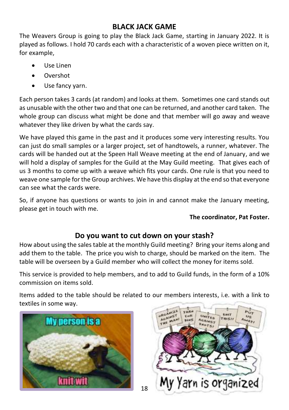#### **BLACK JACK GAME**

The Weavers Group is going to play the Black Jack Game, starting in January 2022. It is played as follows. I hold 70 cards each with a characteristic of a woven piece written on it, for example,

- Use Linen
- Overshot
- Use fancy yarn.

Each person takes 3 cards (at random) and looks at them. Sometimes one card stands out as unusable with the other two and that one can be returned, and another card taken. The whole group can discuss what might be done and that member will go away and weave whatever they like driven by what the cards say.

We have played this game in the past and it produces some very interesting results. You can just do small samples or a larger project, set of handtowels, a runner, whatever. The cards will be handed out at the Speen Hall Weave meeting at the end of January, and we will hold a display of samples for the Guild at the May Guild meeting. That gives each of us 3 months to come up with a weave which fits your cards. One rule is that you need to weave one sample for the Group archives. We have this display at the end so that everyone can see what the cards were.

So, if anyone has questions or wants to join in and cannot make the January meeting, please get in touch with me.

#### **The coordinator, Pat Foster.**

#### **Do you want to cut down on your stash?**

How about using the sales table at the monthly Guild meeting? Bring your items along and add them to the table. The price you wish to charge, should be marked on the item. The table will be overseen by a Guild member who will collect the money for items sold.

This service is provided to help members, and to add to Guild funds, in the form of a 10% commission on items sold.

Items added to the table should be related to our members interests, i.e. with a link to textiles in some way.

18



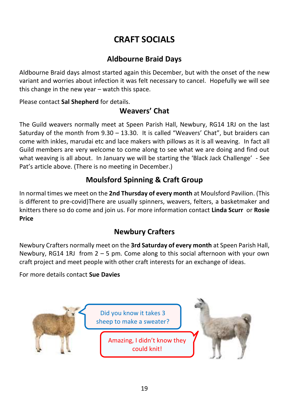# **CRAFT SOCIALS**

#### **Aldbourne Braid Days**

Aldbourne Braid days almost started again this December, but with the onset of the new variant and worries about infection it was felt necessary to cancel. Hopefully we will see this change in the new year – watch this space.

Please contact **Sal Shepherd** for details.

#### **Weavers' Chat**

The Guild weavers normally meet at Speen Parish Hall, Newbury, RG14 1RJ on the last Saturday of the month from 9.30 – 13.30. It is called "Weavers' Chat", but braiders can come with inkles, marudai etc and lace makers with pillows as it is all weaving. In fact all Guild members are very welcome to come along to see what we are doing and find out what weaving is all about. In January we will be starting the 'Black Jack Challenge' - See Pat's article above. (There is no meeting in December.)

## **Moulsford Spinning & Craft Group**

In normal times we meet on the **2nd Thursday of every month** at Moulsford Pavilion. (This is different to pre-covid)There are usually spinners, weavers, felters, a basketmaker and knitters there so do come and join us. For more information contact **Linda Scurr** or **Rosie Price**

## **Newbury Crafters**

Newbury Crafters normally meet on the **3rd Saturday of every month** at Speen Parish Hall, Newbury, RG14 1RJ from  $2 - 5$  pm. Come along to this social afternoon with your own craft project and meet people with other craft interests for an exchange of ideas.

For more details contact **Sue Davies**